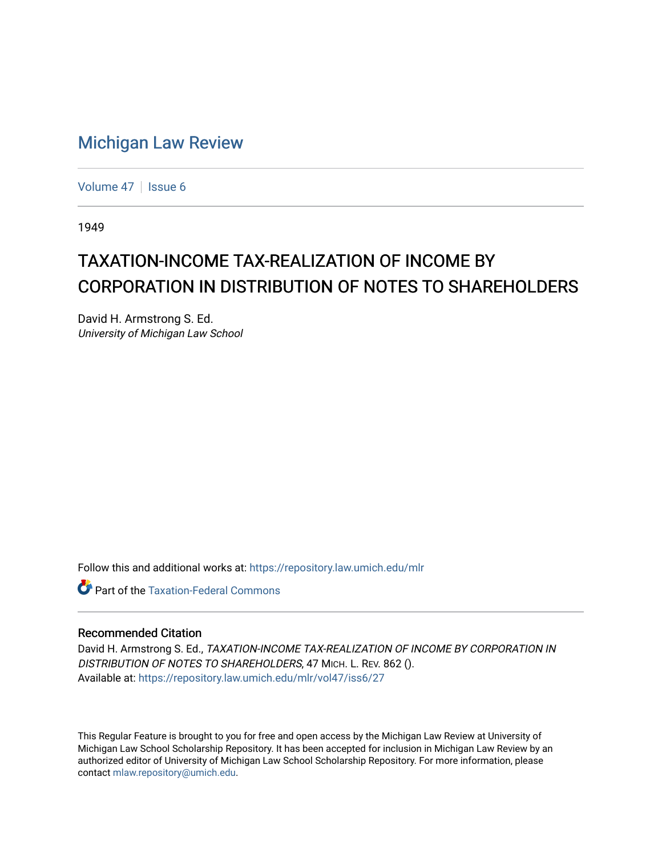## [Michigan Law Review](https://repository.law.umich.edu/mlr)

[Volume 47](https://repository.law.umich.edu/mlr/vol47) | [Issue 6](https://repository.law.umich.edu/mlr/vol47/iss6)

1949

## TAXATION-INCOME TAX-REALIZATION OF INCOME BY CORPORATION IN DISTRIBUTION OF NOTES TO SHAREHOLDERS

David H. Armstrong S. Ed. University of Michigan Law School

Follow this and additional works at: [https://repository.law.umich.edu/mlr](https://repository.law.umich.edu/mlr?utm_source=repository.law.umich.edu%2Fmlr%2Fvol47%2Fiss6%2F27&utm_medium=PDF&utm_campaign=PDFCoverPages) 

**C** Part of the [Taxation-Federal Commons](http://network.bepress.com/hgg/discipline/881?utm_source=repository.law.umich.edu%2Fmlr%2Fvol47%2Fiss6%2F27&utm_medium=PDF&utm_campaign=PDFCoverPages)

## Recommended Citation

David H. Armstrong S. Ed., TAXATION-INCOME TAX-REALIZATION OF INCOME BY CORPORATION IN DISTRIBUTION OF NOTES TO SHAREHOLDERS, 47 MICH. L. REV. 862 (). Available at: [https://repository.law.umich.edu/mlr/vol47/iss6/27](https://repository.law.umich.edu/mlr/vol47/iss6/27?utm_source=repository.law.umich.edu%2Fmlr%2Fvol47%2Fiss6%2F27&utm_medium=PDF&utm_campaign=PDFCoverPages) 

This Regular Feature is brought to you for free and open access by the Michigan Law Review at University of Michigan Law School Scholarship Repository. It has been accepted for inclusion in Michigan Law Review by an authorized editor of University of Michigan Law School Scholarship Repository. For more information, please contact [mlaw.repository@umich.edu](mailto:mlaw.repository@umich.edu).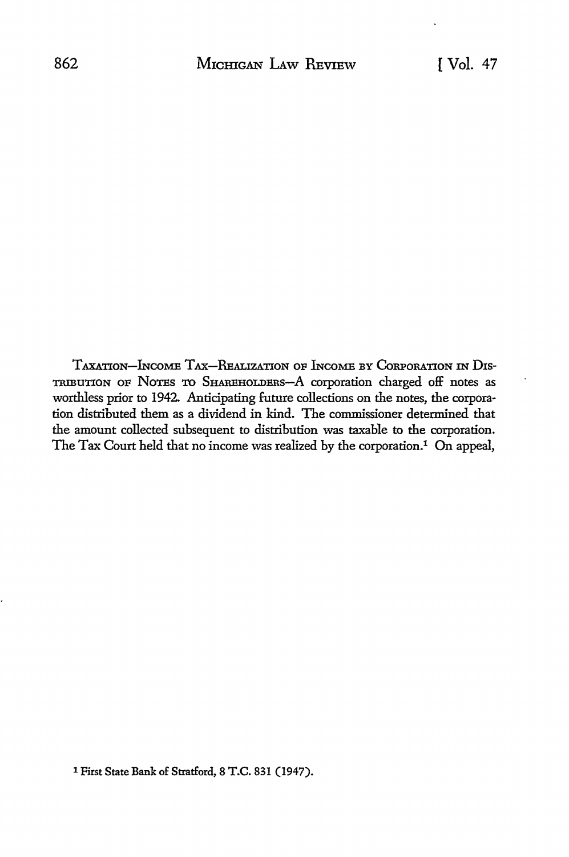TAXATION-lNcoME TAX-REALIZATION op lNcoME BY CoRPoRATION IN Dxs-TRIBUTION OP NoTEs TO SHAREHOLDERS-A corporation charged off notes as worthless prior to 1942. Anticipating future collections on the notes, the corporation distributed them as a dividend in kind. The commissioner determined that the amount collected subsequent to distribution was taxable to the corporation. The Tax Court held that no income was realized by the corporation.<sup>1</sup> On appeal,

1 First State Bank of Stratford, 8 T.C. 831 (1947).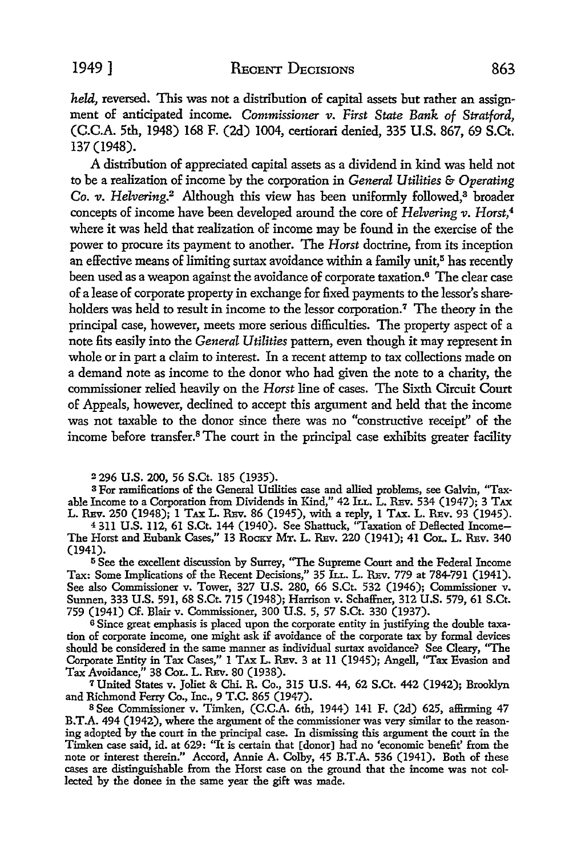*held,* reversed. This was not a distribution of capital assets but rather an assignment of anticipated income. *Commissioner v. First State Bank of Stratford,*  (C.C.A. 5th, 1948) 168 F. (2d) 1004, certiorari denied, 335 U.S. 867, 69 S.Ct. 137 (1948).

A distribution of appreciated capital assets as a dividend in kind was held not to be a realization of income by the corporation in *General Utilities* & *Operating Co. v. Helvering.*<sup>2</sup> Although this view has been uniformly followed,<sup>3</sup> broader concepts of income have been developed around the core of *Helvering v. Horst,4*  where it was held that realization of income may be found in the exercise of the power to procure its payment to another. The *Horst* doctrine, from its inception an effective means of limiting surtax avoidance within a family unit, $5$  has recently been used as a weapon against the avoidance of corporate taxation.<sup>6</sup> The clear case of a lease of corporate property in exchange for fixed payments to the lessor's shareholders was held to result in income to the lessor corporation.<sup>7</sup> The theory in the principal case, however, meets more serious difficulties. The property aspect of a note fits easily into the *General Utilities* pattern, even though it may represent in whole or in part a claim to interest. In a recent attemp to tax collections made on a demand note as income to the donor who had given the note to a charity, the commissioner relied heavily on the *Horst* line of cases. The Sixth Circuit Court of Appeals, however, declined to accept this argument and held that the income was not taxable to the donor since there was no "constructive receipt" of the income before transfer.<sup>8</sup> The court in the principal case exhibits greater facility

<sup>2</sup>296 U.S. 200, 56 S.Ct. 185 (1935).

3 For ramifications of the General Utilities case and allied problems, see Galvin, "Taxable Income to a Corporation from Dividends in Kind," 42 ILL. L. REV. 534 (1947); 3 TAX L. REv. 250 (1948); 1 TAX L. REv. 86 (1945), with a reply, 1 TAX. L. REv. 93 (1945).

4 311 U.S. ll2, 61 S.Ct. 144 (1940). See Shattuck, "Taxation of Deflected Income-The Horst and Eubank Cases," 13 Rocky Mr. L. Rev. 220 (1941); 41 Col. L. Rev. 340 (1941).

<sup>5</sup> See the excellent discussion by Surrey, "The Supreme Court and the Federal Income Tax: Some Implications of the Recent Decisions,'' 35 h.L. L. REv. 779 at 784-791 (1941). See also Commissioner v. Tower, 327 U.S. 280, 66 S.Ct. 532 (1946); Commissioner v. Sunnen, 333 U.S. 591, 68 S.Ct. 715 (1948); Harrison v. Schaffner, 312 U.S. 579, 61 S.Ct. 759 (1941) Cf. Blair v. Commissioner, 300 U.S. 5, 57 S.Ct. 330 (1937).

<sup>6</sup> Since great emphasis is placed upon the corporate entity in justifying the double taxation of corporate income, one might ask if avoidance of the corporate tax by formal devices should be considered in the same manner as individual surtax avoidance'? See Cleary, ''The Corporate Entity in Tax Cases," 1 TAX L. REv. 3 at 11 (1945); Angell, "Tax Evasion and Tax Avoidance," 38 CoL. L. REv. 80 (1938).

<sup>7</sup>United States v. Joliet & Chi. R. Co., 315 U.S. 44, 62 S.Ct. 442 (1942); Brooklyn and Richmond Ferry Co., Inc., 9 T.C. 865 (1947).

<sup>8</sup>See Commissioner v. Timken, (C.C.A. 6th, 1944) 141 F. (2d) 625, affirming 47 B.T.A. 494 (1942), where the argument of the commissioner was very similar to the reasoning adopted by the court in the principal case. In dismissing this argument the court in the Timken case said, id. at 629: "It is certain that [donor] had no 'economic benefit' from the note or interest therein." Accord, Annie A. Colby, 45 B.T.A. 536 (1941). Both of these cases are distinguishable from the Horst case on the ground that the income was not collected by the donee in the same year the gift was made.